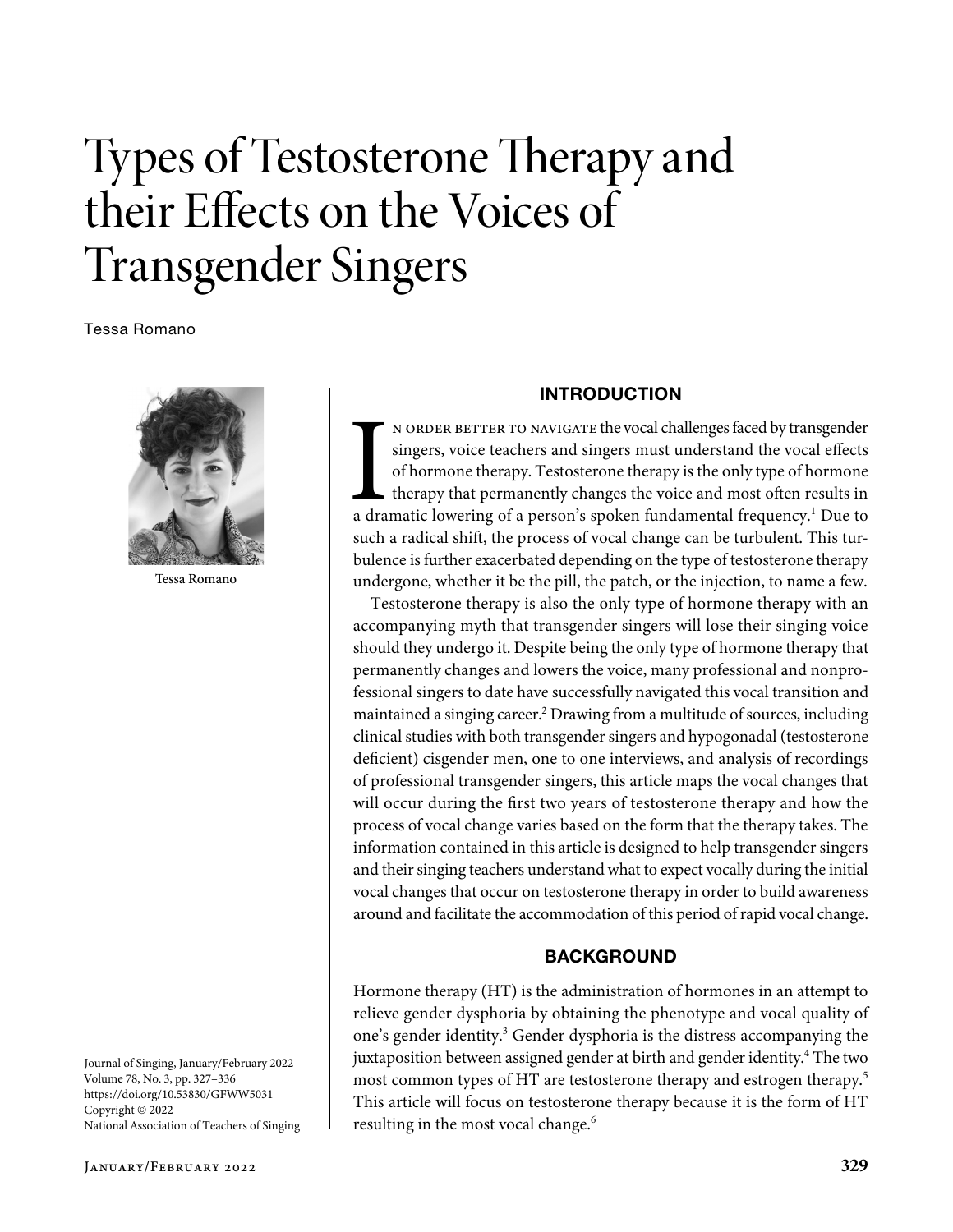# Types of Testosterone Therapy and their Effects on the Voices of Transgender Singers

Tessa Romano



Tessa Romano

Journal of Singing, January/February 2022 Volume 78, No. 3, pp. 327–336 https://doi.org/10.53830/GFWW5031 Copyright © 2022 National Association of Teachers of Singing

#### INTRODUCTION

N ORDER BETTER TO NAVIGATE the vocal challenges faced by transgender singers, voice teachers and singers must understand the vocal effects of hormone therapy. Testosterone therapy is the only type of hormone therapy that n order better to navigate the vocal challenges faced by transgender singers, voice teachers and singers must understand the vocal effects of hormone therapy. Testosterone therapy is the only type of hormone therapy that permanently changes the voice and most often results in such a radical shift, the process of vocal change can be turbulent. This turbulence is further exacerbated depending on the type of testosterone therapy undergone, whether it be the pill, the patch, or the injection, to name a few.

Testosterone therapy is also the only type of hormone therapy with an accompanying myth that transgender singers will lose their singing voice should they undergo it. Despite being the only type of hormone therapy that permanently changes and lowers the voice, many professional and nonprofessional singers to date have successfully navigated this vocal transition and maintained a singing career.<sup>2</sup> Drawing from a multitude of sources, including clinical studies with both transgender singers and hypogonadal (testosterone deficient) cisgender men, one to one interviews, and analysis of recordings of professional transgender singers, this article maps the vocal changes that will occur during the first two years of testosterone therapy and how the process of vocal change varies based on the form that the therapy takes. The information contained in this article is designed to help transgender singers and their singing teachers understand what to expect vocally during the initial vocal changes that occur on testosterone therapy in order to build awareness around and facilitate the accommodation of this period of rapid vocal change.

## **BACKGROUND**

Hormone therapy (HT) is the administration of hormones in an attempt to relieve gender dysphoria by obtaining the phenotype and vocal quality of one's gender identity.<sup>3</sup> Gender dysphoria is the distress accompanying the juxtaposition between assigned gender at birth and gender identity.<sup>4</sup> The two most common types of HT are testosterone therapy and estrogen therapy.5 This article will focus on testosterone therapy because it is the form of HT resulting in the most vocal change.<sup>6</sup>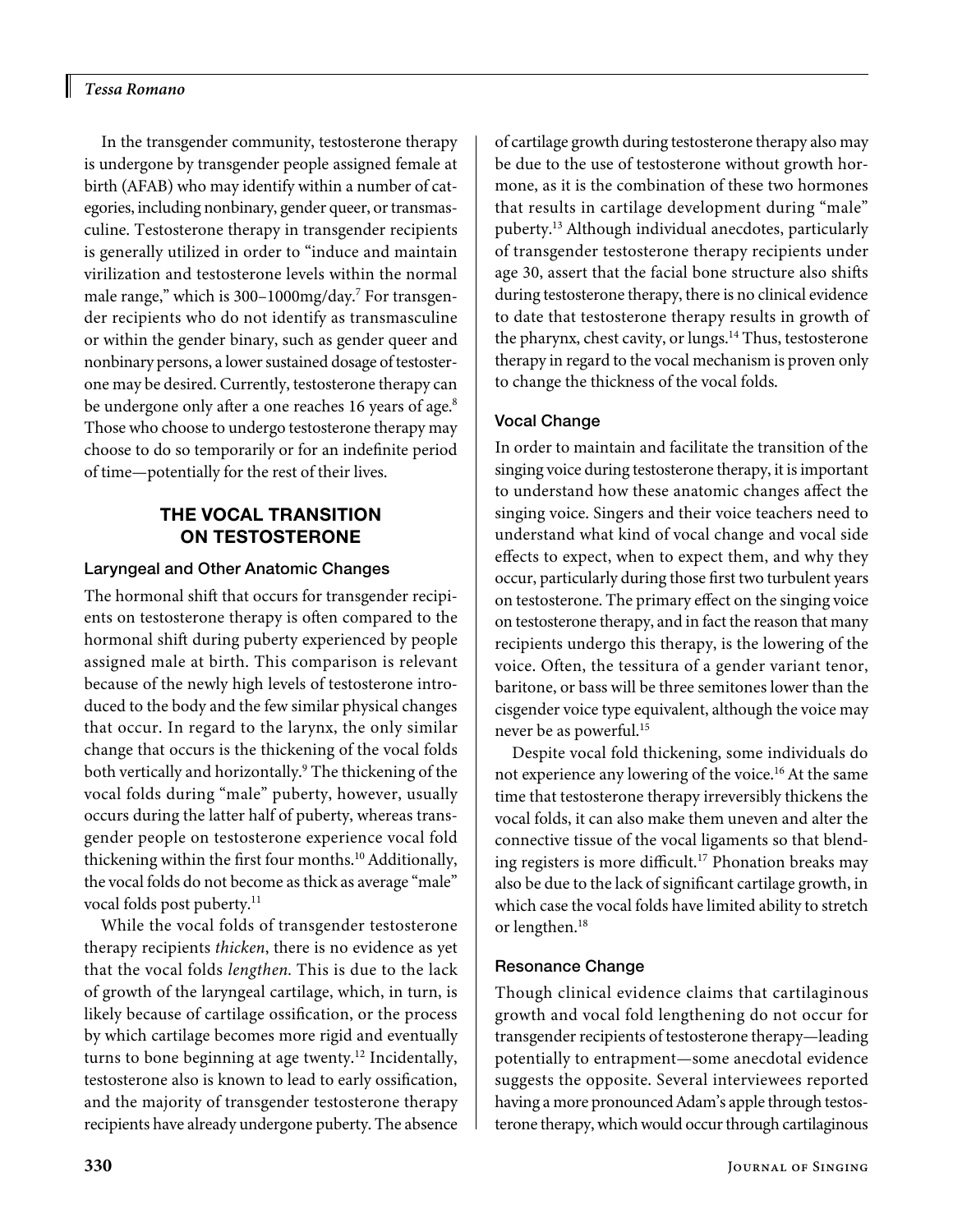H

In the transgender community, testosterone therapy is undergone by transgender people assigned female at birth (AFAB) who may identify within a number of categories, including nonbinary, gender queer, or transmasculine. Testosterone therapy in transgender recipients is generally utilized in order to "induce and maintain virilization and testosterone levels within the normal male range," which is 300-1000mg/day.<sup>7</sup> For transgender recipients who do not identify as transmasculine or within the gender binary, such as gender queer and nonbinary persons, a lower sustained dosage of testosterone may be desired. Currently, testosterone therapy can be undergone only after a one reaches 16 years of age.<sup>8</sup> Those who choose to undergo testosterone therapy may choose to do so temporarily or for an indefinite period of time—potentially for the rest of their lives.

# THE VOCAL TRANSITION ON TESTOSTERONE

#### Laryngeal and Other Anatomic Changes

The hormonal shift that occurs for transgender recipients on testosterone therapy is often compared to the hormonal shift during puberty experienced by people assigned male at birth. This comparison is relevant because of the newly high levels of testosterone introduced to the body and the few similar physical changes that occur. In regard to the larynx, the only similar change that occurs is the thickening of the vocal folds both vertically and horizontally.<sup>9</sup> The thickening of the vocal folds during "male" puberty, however, usually occurs during the latter half of puberty, whereas transgender people on testosterone experience vocal fold thickening within the first four months.<sup>10</sup> Additionally, the vocal folds do not become as thick as average "male" vocal folds post puberty.<sup>11</sup>

While the vocal folds of transgender testosterone therapy recipients *thicken*, there is no evidence as yet that the vocal folds *lengthen.* This is due to the lack of growth of the laryngeal cartilage, which, in turn, is likely because of cartilage ossification, or the process by which cartilage becomes more rigid and eventually turns to bone beginning at age twenty.<sup>12</sup> Incidentally, testosterone also is known to lead to early ossification, and the majority of transgender testosterone therapy recipients have already undergone puberty. The absence

of cartilage growth during testosterone therapy also may be due to the use of testosterone without growth hormone, as it is the combination of these two hormones that results in cartilage development during "male" puberty.13 Although individual anecdotes, particularly of transgender testosterone therapy recipients under age 30, assert that the facial bone structure also shifts during testosterone therapy, there is no clinical evidence to date that testosterone therapy results in growth of the pharynx, chest cavity, or lungs.<sup>14</sup> Thus, testosterone therapy in regard to the vocal mechanism is proven only to change the thickness of the vocal folds.

## Vocal Change

In order to maintain and facilitate the transition of the singing voice during testosterone therapy, it is important to understand how these anatomic changes affect the singing voice. Singers and their voice teachers need to understand what kind of vocal change and vocal side effects to expect, when to expect them, and why they occur, particularly during those first two turbulent years on testosterone. The primary effect on the singing voice on testosterone therapy, and in fact the reason that many recipients undergo this therapy, is the lowering of the voice. Often, the tessitura of a gender variant tenor, baritone, or bass will be three semitones lower than the cisgender voice type equivalent, although the voice may never be as powerful.<sup>15</sup>

Despite vocal fold thickening, some individuals do not experience any lowering of the voice.<sup>16</sup> At the same time that testosterone therapy irreversibly thickens the vocal folds, it can also make them uneven and alter the connective tissue of the vocal ligaments so that blending registers is more difficult.<sup>17</sup> Phonation breaks may also be due to the lack of significant cartilage growth, in which case the vocal folds have limited ability to stretch or lengthen.18

## Resonance Change

Though clinical evidence claims that cartilaginous growth and vocal fold lengthening do not occur for transgender recipients of testosterone therapy—leading potentially to entrapment—some anecdotal evidence suggests the opposite. Several interviewees reported having a more pronounced Adam's apple through testosterone therapy, which would occur through cartilaginous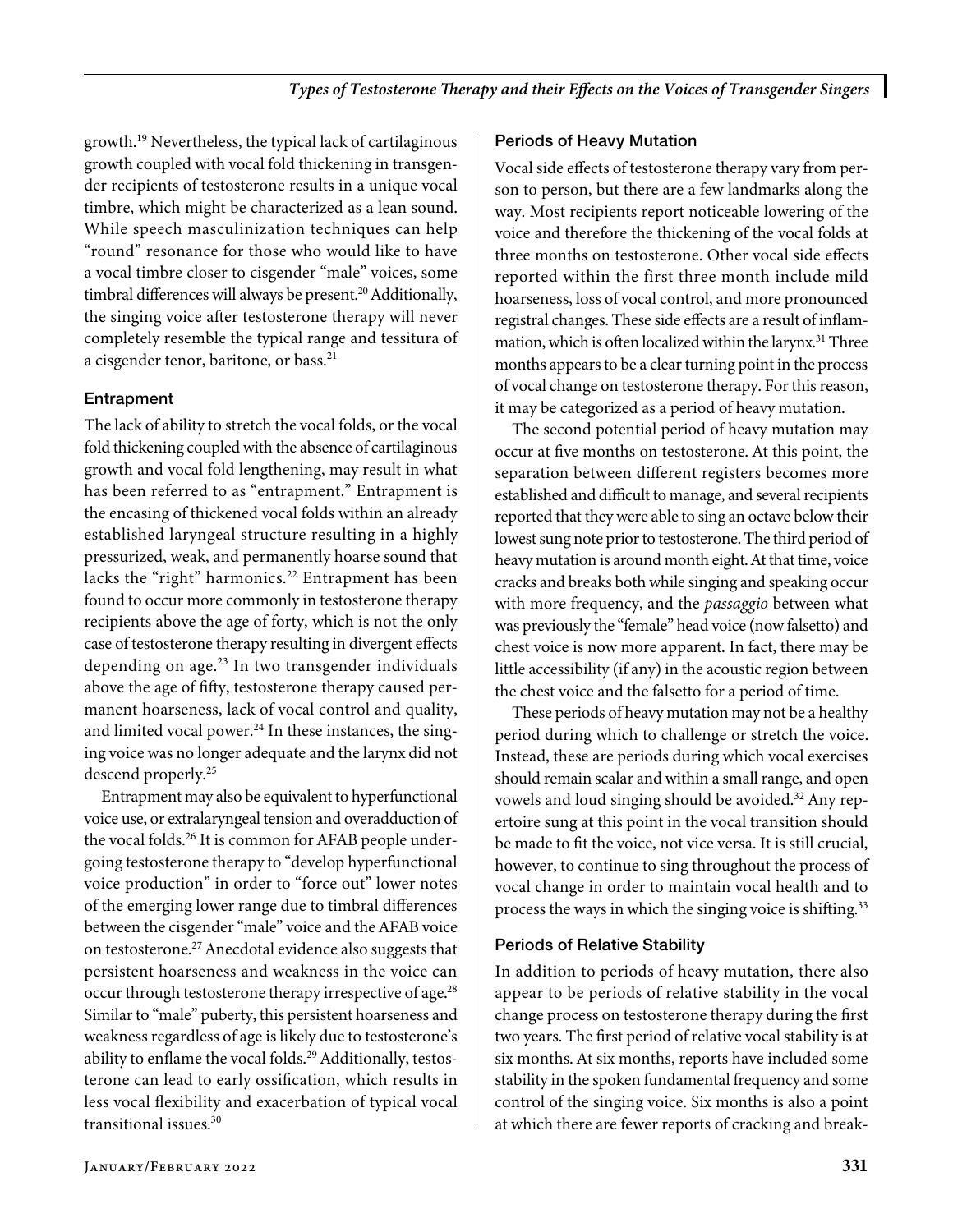growth.19 Nevertheless, the typical lack of cartilaginous growth coupled with vocal fold thickening in transgender recipients of testosterone results in a unique vocal timbre, which might be characterized as a lean sound. While speech masculinization techniques can help "round" resonance for those who would like to have a vocal timbre closer to cisgender "male" voices, some timbral differences will always be present.<sup>20</sup> Additionally, the singing voice after testosterone therapy will never completely resemble the typical range and tessitura of a cisgender tenor, baritone, or bass.<sup>21</sup>

# Entrapment

The lack of ability to stretch the vocal folds, or the vocal fold thickening coupled with the absence of cartilaginous growth and vocal fold lengthening, may result in what has been referred to as "entrapment." Entrapment is the encasing of thickened vocal folds within an already established laryngeal structure resulting in a highly pressurized, weak, and permanently hoarse sound that lacks the "right" harmonics.<sup>22</sup> Entrapment has been found to occur more commonly in testosterone therapy recipients above the age of forty, which is not the only case of testosterone therapy resulting in divergent effects depending on age.<sup>23</sup> In two transgender individuals above the age of fifty, testosterone therapy caused permanent hoarseness, lack of vocal control and quality, and limited vocal power. $^{24}$  In these instances, the singing voice was no longer adequate and the larynx did not descend properly.25

Entrapment may also be equivalent to hyperfunctional voice use, or extralaryngeal tension and overadduction of the vocal folds.<sup>26</sup> It is common for AFAB people undergoing testosterone therapy to "develop hyperfunctional voice production" in order to "force out" lower notes of the emerging lower range due to timbral differences between the cisgender "male" voice and the AFAB voice on testosterone.27 Anecdotal evidence also suggests that persistent hoarseness and weakness in the voice can occur through testosterone therapy irrespective of age.<sup>28</sup> Similar to "male" puberty, this persistent hoarseness and weakness regardless of age is likely due to testosterone's ability to enflame the vocal folds.<sup>29</sup> Additionally, testosterone can lead to early ossification, which results in less vocal flexibility and exacerbation of typical vocal transitional issues.30

## Periods of Heavy Mutation

Vocal side effects of testosterone therapy vary from person to person, but there are a few landmarks along the way. Most recipients report noticeable lowering of the voice and therefore the thickening of the vocal folds at three months on testosterone. Other vocal side effects reported within the first three month include mild hoarseness, loss of vocal control, and more pronounced registral changes. These side effects are a result of inflammation, which is often localized within the larynx.<sup>31</sup> Three months appears to be a clear turning point in the process of vocal change on testosterone therapy. For this reason, it may be categorized as a period of heavy mutation.

The second potential period of heavy mutation may occur at five months on testosterone. At this point, the separation between different registers becomes more established and difficult to manage, and several recipients reported that they were able to sing an octave below their lowest sung note prior to testosterone. The third period of heavy mutation is around month eight. At that time, voice cracks and breaks both while singing and speaking occur with more frequency, and the *passaggio* between what was previously the "female" head voice (now falsetto) and chest voice is now more apparent. In fact, there may be little accessibility (if any) in the acoustic region between the chest voice and the falsetto for a period of time.

These periods of heavy mutation may not be a healthy period during which to challenge or stretch the voice. Instead, these are periods during which vocal exercises should remain scalar and within a small range, and open vowels and loud singing should be avoided.<sup>32</sup> Any repertoire sung at this point in the vocal transition should be made to fit the voice, not vice versa. It is still crucial, however, to continue to sing throughout the process of vocal change in order to maintain vocal health and to process the ways in which the singing voice is shifting.<sup>33</sup>

## Periods of Relative Stability

In addition to periods of heavy mutation, there also appear to be periods of relative stability in the vocal change process on testosterone therapy during the first two years. The first period of relative vocal stability is at six months. At six months, reports have included some stability in the spoken fundamental frequency and some control of the singing voice. Six months is also a point at which there are fewer reports of cracking and break-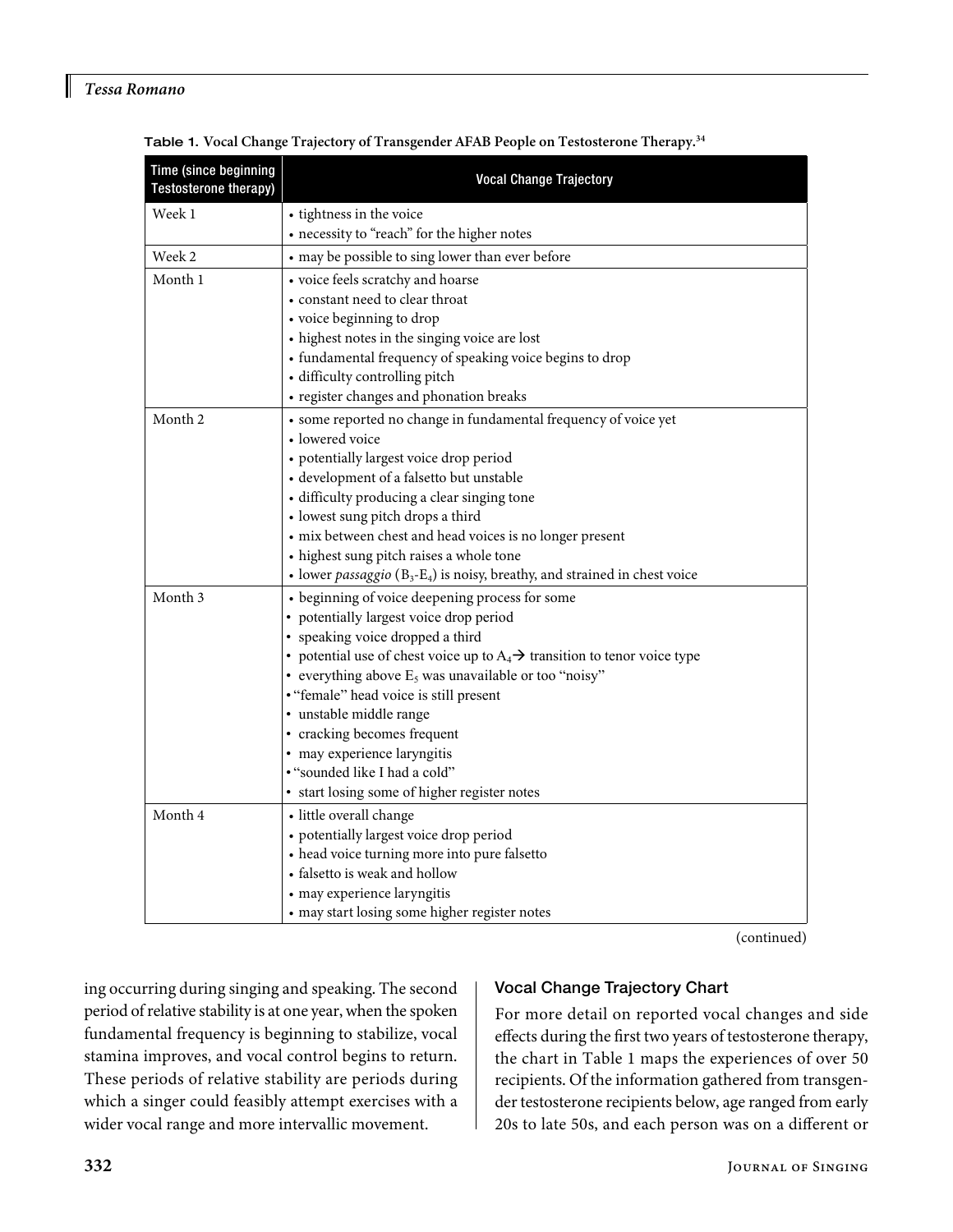I

| Time (since beginning<br>Testosterone therapy) | <b>Vocal Change Trajectory</b>                                                                                                                                                                                                                                                                                                                                                                                                                                                                                                                                                                                                                                                                                                                                                                                                                                                                                                                                                                                                                                                                                                                                                                                                                                                                                                                        |  |  |  |  |  |
|------------------------------------------------|-------------------------------------------------------------------------------------------------------------------------------------------------------------------------------------------------------------------------------------------------------------------------------------------------------------------------------------------------------------------------------------------------------------------------------------------------------------------------------------------------------------------------------------------------------------------------------------------------------------------------------------------------------------------------------------------------------------------------------------------------------------------------------------------------------------------------------------------------------------------------------------------------------------------------------------------------------------------------------------------------------------------------------------------------------------------------------------------------------------------------------------------------------------------------------------------------------------------------------------------------------------------------------------------------------------------------------------------------------|--|--|--|--|--|
| Week 1                                         | • tightness in the voice                                                                                                                                                                                                                                                                                                                                                                                                                                                                                                                                                                                                                                                                                                                                                                                                                                                                                                                                                                                                                                                                                                                                                                                                                                                                                                                              |  |  |  |  |  |
|                                                | • necessity to "reach" for the higher notes                                                                                                                                                                                                                                                                                                                                                                                                                                                                                                                                                                                                                                                                                                                                                                                                                                                                                                                                                                                                                                                                                                                                                                                                                                                                                                           |  |  |  |  |  |
| Week 2                                         | • may be possible to sing lower than ever before                                                                                                                                                                                                                                                                                                                                                                                                                                                                                                                                                                                                                                                                                                                                                                                                                                                                                                                                                                                                                                                                                                                                                                                                                                                                                                      |  |  |  |  |  |
| Month 1                                        | • voice feels scratchy and hoarse                                                                                                                                                                                                                                                                                                                                                                                                                                                                                                                                                                                                                                                                                                                                                                                                                                                                                                                                                                                                                                                                                                                                                                                                                                                                                                                     |  |  |  |  |  |
|                                                | • constant need to clear throat                                                                                                                                                                                                                                                                                                                                                                                                                                                                                                                                                                                                                                                                                                                                                                                                                                                                                                                                                                                                                                                                                                                                                                                                                                                                                                                       |  |  |  |  |  |
|                                                | • voice beginning to drop                                                                                                                                                                                                                                                                                                                                                                                                                                                                                                                                                                                                                                                                                                                                                                                                                                                                                                                                                                                                                                                                                                                                                                                                                                                                                                                             |  |  |  |  |  |
|                                                | • highest notes in the singing voice are lost                                                                                                                                                                                                                                                                                                                                                                                                                                                                                                                                                                                                                                                                                                                                                                                                                                                                                                                                                                                                                                                                                                                                                                                                                                                                                                         |  |  |  |  |  |
|                                                |                                                                                                                                                                                                                                                                                                                                                                                                                                                                                                                                                                                                                                                                                                                                                                                                                                                                                                                                                                                                                                                                                                                                                                                                                                                                                                                                                       |  |  |  |  |  |
|                                                |                                                                                                                                                                                                                                                                                                                                                                                                                                                                                                                                                                                                                                                                                                                                                                                                                                                                                                                                                                                                                                                                                                                                                                                                                                                                                                                                                       |  |  |  |  |  |
|                                                |                                                                                                                                                                                                                                                                                                                                                                                                                                                                                                                                                                                                                                                                                                                                                                                                                                                                                                                                                                                                                                                                                                                                                                                                                                                                                                                                                       |  |  |  |  |  |
|                                                |                                                                                                                                                                                                                                                                                                                                                                                                                                                                                                                                                                                                                                                                                                                                                                                                                                                                                                                                                                                                                                                                                                                                                                                                                                                                                                                                                       |  |  |  |  |  |
|                                                |                                                                                                                                                                                                                                                                                                                                                                                                                                                                                                                                                                                                                                                                                                                                                                                                                                                                                                                                                                                                                                                                                                                                                                                                                                                                                                                                                       |  |  |  |  |  |
|                                                |                                                                                                                                                                                                                                                                                                                                                                                                                                                                                                                                                                                                                                                                                                                                                                                                                                                                                                                                                                                                                                                                                                                                                                                                                                                                                                                                                       |  |  |  |  |  |
|                                                |                                                                                                                                                                                                                                                                                                                                                                                                                                                                                                                                                                                                                                                                                                                                                                                                                                                                                                                                                                                                                                                                                                                                                                                                                                                                                                                                                       |  |  |  |  |  |
|                                                |                                                                                                                                                                                                                                                                                                                                                                                                                                                                                                                                                                                                                                                                                                                                                                                                                                                                                                                                                                                                                                                                                                                                                                                                                                                                                                                                                       |  |  |  |  |  |
|                                                |                                                                                                                                                                                                                                                                                                                                                                                                                                                                                                                                                                                                                                                                                                                                                                                                                                                                                                                                                                                                                                                                                                                                                                                                                                                                                                                                                       |  |  |  |  |  |
|                                                |                                                                                                                                                                                                                                                                                                                                                                                                                                                                                                                                                                                                                                                                                                                                                                                                                                                                                                                                                                                                                                                                                                                                                                                                                                                                                                                                                       |  |  |  |  |  |
|                                                |                                                                                                                                                                                                                                                                                                                                                                                                                                                                                                                                                                                                                                                                                                                                                                                                                                                                                                                                                                                                                                                                                                                                                                                                                                                                                                                                                       |  |  |  |  |  |
|                                                |                                                                                                                                                                                                                                                                                                                                                                                                                                                                                                                                                                                                                                                                                                                                                                                                                                                                                                                                                                                                                                                                                                                                                                                                                                                                                                                                                       |  |  |  |  |  |
|                                                |                                                                                                                                                                                                                                                                                                                                                                                                                                                                                                                                                                                                                                                                                                                                                                                                                                                                                                                                                                                                                                                                                                                                                                                                                                                                                                                                                       |  |  |  |  |  |
|                                                |                                                                                                                                                                                                                                                                                                                                                                                                                                                                                                                                                                                                                                                                                                                                                                                                                                                                                                                                                                                                                                                                                                                                                                                                                                                                                                                                                       |  |  |  |  |  |
|                                                |                                                                                                                                                                                                                                                                                                                                                                                                                                                                                                                                                                                                                                                                                                                                                                                                                                                                                                                                                                                                                                                                                                                                                                                                                                                                                                                                                       |  |  |  |  |  |
|                                                |                                                                                                                                                                                                                                                                                                                                                                                                                                                                                                                                                                                                                                                                                                                                                                                                                                                                                                                                                                                                                                                                                                                                                                                                                                                                                                                                                       |  |  |  |  |  |
|                                                |                                                                                                                                                                                                                                                                                                                                                                                                                                                                                                                                                                                                                                                                                                                                                                                                                                                                                                                                                                                                                                                                                                                                                                                                                                                                                                                                                       |  |  |  |  |  |
|                                                |                                                                                                                                                                                                                                                                                                                                                                                                                                                                                                                                                                                                                                                                                                                                                                                                                                                                                                                                                                                                                                                                                                                                                                                                                                                                                                                                                       |  |  |  |  |  |
|                                                |                                                                                                                                                                                                                                                                                                                                                                                                                                                                                                                                                                                                                                                                                                                                                                                                                                                                                                                                                                                                                                                                                                                                                                                                                                                                                                                                                       |  |  |  |  |  |
|                                                |                                                                                                                                                                                                                                                                                                                                                                                                                                                                                                                                                                                                                                                                                                                                                                                                                                                                                                                                                                                                                                                                                                                                                                                                                                                                                                                                                       |  |  |  |  |  |
|                                                |                                                                                                                                                                                                                                                                                                                                                                                                                                                                                                                                                                                                                                                                                                                                                                                                                                                                                                                                                                                                                                                                                                                                                                                                                                                                                                                                                       |  |  |  |  |  |
|                                                |                                                                                                                                                                                                                                                                                                                                                                                                                                                                                                                                                                                                                                                                                                                                                                                                                                                                                                                                                                                                                                                                                                                                                                                                                                                                                                                                                       |  |  |  |  |  |
|                                                |                                                                                                                                                                                                                                                                                                                                                                                                                                                                                                                                                                                                                                                                                                                                                                                                                                                                                                                                                                                                                                                                                                                                                                                                                                                                                                                                                       |  |  |  |  |  |
|                                                |                                                                                                                                                                                                                                                                                                                                                                                                                                                                                                                                                                                                                                                                                                                                                                                                                                                                                                                                                                                                                                                                                                                                                                                                                                                                                                                                                       |  |  |  |  |  |
|                                                |                                                                                                                                                                                                                                                                                                                                                                                                                                                                                                                                                                                                                                                                                                                                                                                                                                                                                                                                                                                                                                                                                                                                                                                                                                                                                                                                                       |  |  |  |  |  |
|                                                |                                                                                                                                                                                                                                                                                                                                                                                                                                                                                                                                                                                                                                                                                                                                                                                                                                                                                                                                                                                                                                                                                                                                                                                                                                                                                                                                                       |  |  |  |  |  |
|                                                |                                                                                                                                                                                                                                                                                                                                                                                                                                                                                                                                                                                                                                                                                                                                                                                                                                                                                                                                                                                                                                                                                                                                                                                                                                                                                                                                                       |  |  |  |  |  |
|                                                |                                                                                                                                                                                                                                                                                                                                                                                                                                                                                                                                                                                                                                                                                                                                                                                                                                                                                                                                                                                                                                                                                                                                                                                                                                                                                                                                                       |  |  |  |  |  |
| Month 2<br>Month 3<br>Month 4                  | • fundamental frequency of speaking voice begins to drop<br>· difficulty controlling pitch<br>• register changes and phonation breaks<br>• some reported no change in fundamental frequency of voice yet<br>• lowered voice<br>• potentially largest voice drop period<br>· development of a falsetto but unstable<br>• difficulty producing a clear singing tone<br>• lowest sung pitch drops a third<br>• mix between chest and head voices is no longer present<br>• highest sung pitch raises a whole tone<br>• lower passaggio ( $B_3$ - $E_4$ ) is noisy, breathy, and strained in chest voice<br>• beginning of voice deepening process for some<br>• potentially largest voice drop period<br>• speaking voice dropped a third<br>• potential use of chest voice up to $A_4 \rightarrow$ transition to tenor voice type<br>• everything above $E_5$ was unavailable or too "noisy"<br>• "female" head voice is still present<br>· unstable middle range<br>• cracking becomes frequent<br>• may experience laryngitis<br>• "sounded like I had a cold"<br>• start losing some of higher register notes<br>• little overall change<br>• potentially largest voice drop period<br>• head voice turning more into pure falsetto<br>• falsetto is weak and hollow<br>• may experience laryngitis<br>• may start losing some higher register notes |  |  |  |  |  |

Table 1. **Vocal Change Trajectory of Transgender AFAB People on Testosterone Therapy.34**

(continued)

ing occurring during singing and speaking. The second period of relative stability is at one year, when the spoken fundamental frequency is beginning to stabilize, vocal stamina improves, and vocal control begins to return. These periods of relative stability are periods during which a singer could feasibly attempt exercises with a wider vocal range and more intervallic movement.

## Vocal Change Trajectory Chart

For more detail on reported vocal changes and side effects during the first two years of testosterone therapy, the chart in Table 1 maps the experiences of over 50 recipients. Of the information gathered from transgender testosterone recipients below, age ranged from early 20s to late 50s, and each person was on a different or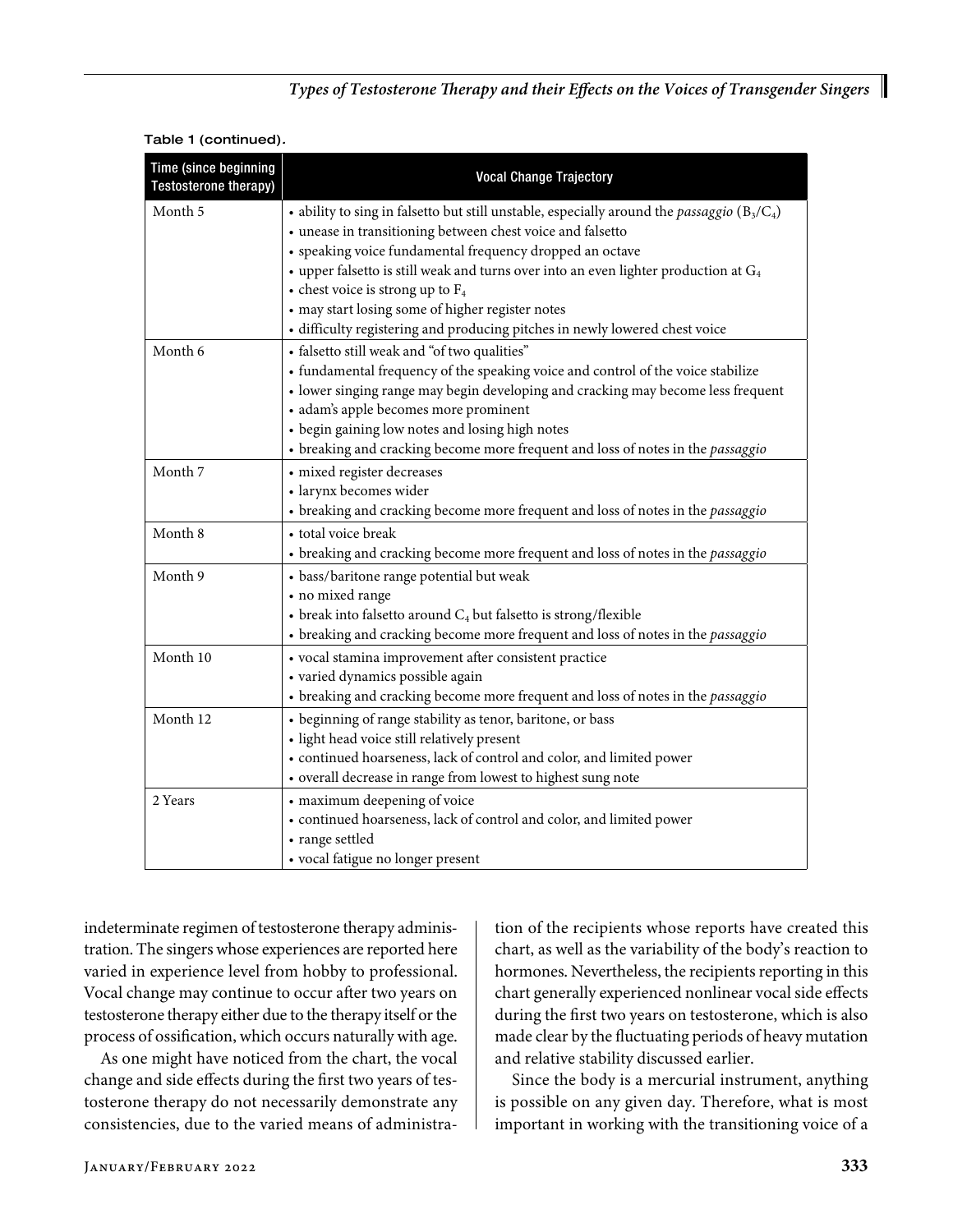# *Types of Testosterone Therapy and their Effects on the Voices of Transgender Singers*

| Time (since beginning<br>Testosterone therapy) | <b>Vocal Change Trajectory</b>                                                                         |  |  |  |  |
|------------------------------------------------|--------------------------------------------------------------------------------------------------------|--|--|--|--|
| Month 5                                        | • ability to sing in falsetto but still unstable, especially around the <i>passaggio</i> ( $B_3/C_4$ ) |  |  |  |  |
|                                                | · unease in transitioning between chest voice and falsetto                                             |  |  |  |  |
|                                                | • speaking voice fundamental frequency dropped an octave                                               |  |  |  |  |
|                                                | $\bullet$ upper falsetto is still weak and turns over into an even lighter production at $G_4$         |  |  |  |  |
|                                                | • chest voice is strong up to $F_4$                                                                    |  |  |  |  |
|                                                | • may start losing some of higher register notes                                                       |  |  |  |  |
|                                                | · difficulty registering and producing pitches in newly lowered chest voice                            |  |  |  |  |
| Month 6                                        | • falsetto still weak and "of two qualities"                                                           |  |  |  |  |
|                                                | • fundamental frequency of the speaking voice and control of the voice stabilize                       |  |  |  |  |
|                                                | • lower singing range may begin developing and cracking may become less frequent                       |  |  |  |  |
|                                                | · adam's apple becomes more prominent                                                                  |  |  |  |  |
|                                                | • begin gaining low notes and losing high notes                                                        |  |  |  |  |
|                                                | • breaking and cracking become more frequent and loss of notes in the passaggio                        |  |  |  |  |
| Month 7                                        | · mixed register decreases                                                                             |  |  |  |  |
|                                                | · larynx becomes wider                                                                                 |  |  |  |  |
|                                                | • breaking and cracking become more frequent and loss of notes in the passaggio                        |  |  |  |  |
| Month 8                                        | • total voice break                                                                                    |  |  |  |  |
|                                                | • breaking and cracking become more frequent and loss of notes in the passaggio                        |  |  |  |  |
| Month 9                                        | • bass/baritone range potential but weak                                                               |  |  |  |  |
|                                                | • no mixed range                                                                                       |  |  |  |  |
|                                                | • break into falsetto around $C_4$ but falsetto is strong/flexible                                     |  |  |  |  |
|                                                | • breaking and cracking become more frequent and loss of notes in the passaggio                        |  |  |  |  |
| Month 10                                       | · vocal stamina improvement after consistent practice                                                  |  |  |  |  |
|                                                | · varied dynamics possible again                                                                       |  |  |  |  |
|                                                | • breaking and cracking become more frequent and loss of notes in the passaggio                        |  |  |  |  |
| Month 12                                       | • beginning of range stability as tenor, baritone, or bass                                             |  |  |  |  |
|                                                | · light head voice still relatively present                                                            |  |  |  |  |
|                                                | · continued hoarseness, lack of control and color, and limited power                                   |  |  |  |  |
|                                                | • overall decrease in range from lowest to highest sung note                                           |  |  |  |  |
| 2 Years                                        | • maximum deepening of voice                                                                           |  |  |  |  |
|                                                | • continued hoarseness, lack of control and color, and limited power                                   |  |  |  |  |
|                                                | • range settled                                                                                        |  |  |  |  |
|                                                | • vocal fatigue no longer present                                                                      |  |  |  |  |

|  |  |  |  | Table 1 (continued). |
|--|--|--|--|----------------------|
|--|--|--|--|----------------------|

indeterminate regimen of testosterone therapy administration. The singers whose experiences are reported here varied in experience level from hobby to professional. Vocal change may continue to occur after two years on testosterone therapy either due to the therapy itself or the process of ossification, which occurs naturally with age.

As one might have noticed from the chart, the vocal change and side effects during the first two years of testosterone therapy do not necessarily demonstrate any consistencies, due to the varied means of administra-

tion of the recipients whose reports have created this chart, as well as the variability of the body's reaction to hormones. Nevertheless, the recipients reporting in this chart generally experienced nonlinear vocal side effects during the first two years on testosterone, which is also made clear by the fluctuating periods of heavy mutation and relative stability discussed earlier.

Since the body is a mercurial instrument, anything is possible on any given day. Therefore, what is most important in working with the transitioning voice of a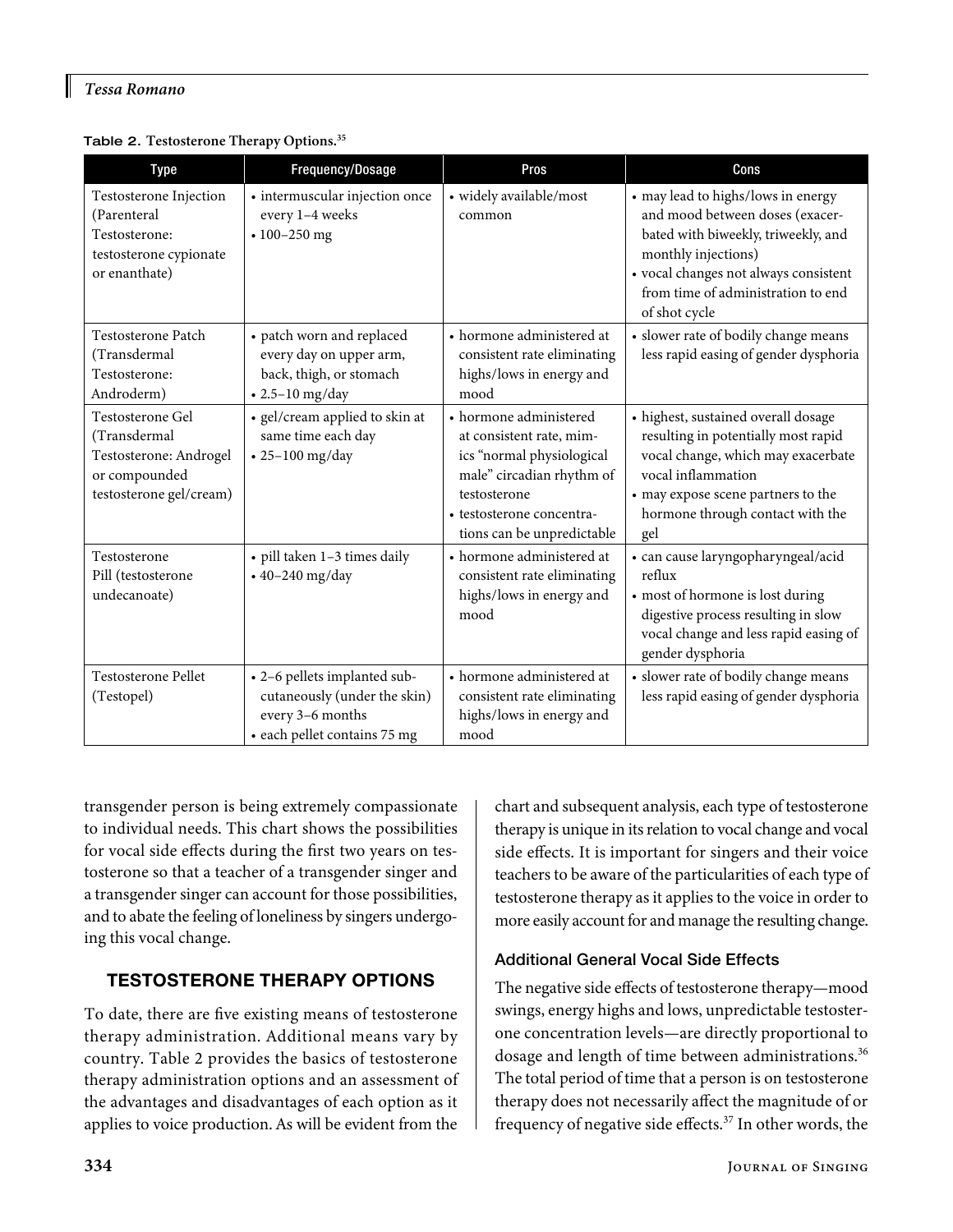I

Table 2. **Testosterone Therapy Options.35**

| <b>Type</b>                                                                                            | Frequency/Dosage                                                                                                 | Pros                                                                                                                                                                                    | Cons                                                                                                                                                                                                                                |
|--------------------------------------------------------------------------------------------------------|------------------------------------------------------------------------------------------------------------------|-----------------------------------------------------------------------------------------------------------------------------------------------------------------------------------------|-------------------------------------------------------------------------------------------------------------------------------------------------------------------------------------------------------------------------------------|
| Testosterone Injection<br>(Parenteral<br>Testosterone:<br>testosterone cypionate<br>or enanthate)      | • intermuscular injection once<br>every 1-4 weeks<br>$\cdot 100 - 250$ mg                                        | • widely available/most<br>common                                                                                                                                                       | • may lead to highs/lows in energy<br>and mood between doses (exacer-<br>bated with biweekly, triweekly, and<br>monthly injections)<br>· vocal changes not always consistent<br>from time of administration to end<br>of shot cycle |
| Testosterone Patch<br>(Transdermal<br>Testosterone:<br>Androderm)                                      | • patch worn and replaced<br>every day on upper arm,<br>back, thigh, or stomach<br>$\cdot$ 2.5-10 mg/day         | • hormone administered at<br>consistent rate eliminating<br>highs/lows in energy and<br>mood                                                                                            | · slower rate of bodily change means<br>less rapid easing of gender dysphoria                                                                                                                                                       |
| Testosterone Gel<br>(Transdermal<br>Testosterone: Androgel<br>or compounded<br>testosterone gel/cream) | • gel/cream applied to skin at<br>same time each day<br>$\cdot$ 25-100 mg/day                                    | • hormone administered<br>at consistent rate, mim-<br>ics "normal physiological<br>male" circadian rhythm of<br>testosterone<br>• testosterone concentra-<br>tions can be unpredictable | • highest, sustained overall dosage<br>resulting in potentially most rapid<br>vocal change, which may exacerbate<br>vocal inflammation<br>• may expose scene partners to the<br>hormone through contact with the<br>gel             |
| Testosterone<br>Pill (testosterone<br>undecanoate)                                                     | · pill taken 1-3 times daily<br>$\cdot$ 40-240 mg/day                                                            | • hormone administered at<br>consistent rate eliminating<br>highs/lows in energy and<br>mood                                                                                            | · can cause laryngopharyngeal/acid<br>reflux<br>· most of hormone is lost during<br>digestive process resulting in slow<br>vocal change and less rapid easing of<br>gender dysphoria                                                |
| <b>Testosterone Pellet</b><br>(Testopel)                                                               | • 2-6 pellets implanted sub-<br>cutaneously (under the skin)<br>every 3-6 months<br>· each pellet contains 75 mg | • hormone administered at<br>consistent rate eliminating<br>highs/lows in energy and<br>mood                                                                                            | • slower rate of bodily change means<br>less rapid easing of gender dysphoria                                                                                                                                                       |

transgender person is being extremely compassionate to individual needs. This chart shows the possibilities for vocal side effects during the first two years on testosterone so that a teacher of a transgender singer and a transgender singer can account for those possibilities, and to abate the feeling of loneliness by singers undergoing this vocal change.

# TESTOSTERONE THERAPY OPTIONS

To date, there are five existing means of testosterone therapy administration. Additional means vary by country. Table 2 provides the basics of testosterone therapy administration options and an assessment of the advantages and disadvantages of each option as it applies to voice production. As will be evident from the

chart and subsequent analysis, each type of testosterone therapy is unique in its relation to vocal change and vocal side effects. It is important for singers and their voice teachers to be aware of the particularities of each type of testosterone therapy as it applies to the voice in order to more easily account for and manage the resulting change.

## Additional General Vocal Side Effects

The negative side effects of testosterone therapy—mood swings, energy highs and lows, unpredictable testosterone concentration levels—are directly proportional to dosage and length of time between administrations.<sup>36</sup> The total period of time that a person is on testosterone therapy does not necessarily affect the magnitude of or frequency of negative side effects.37 In other words, the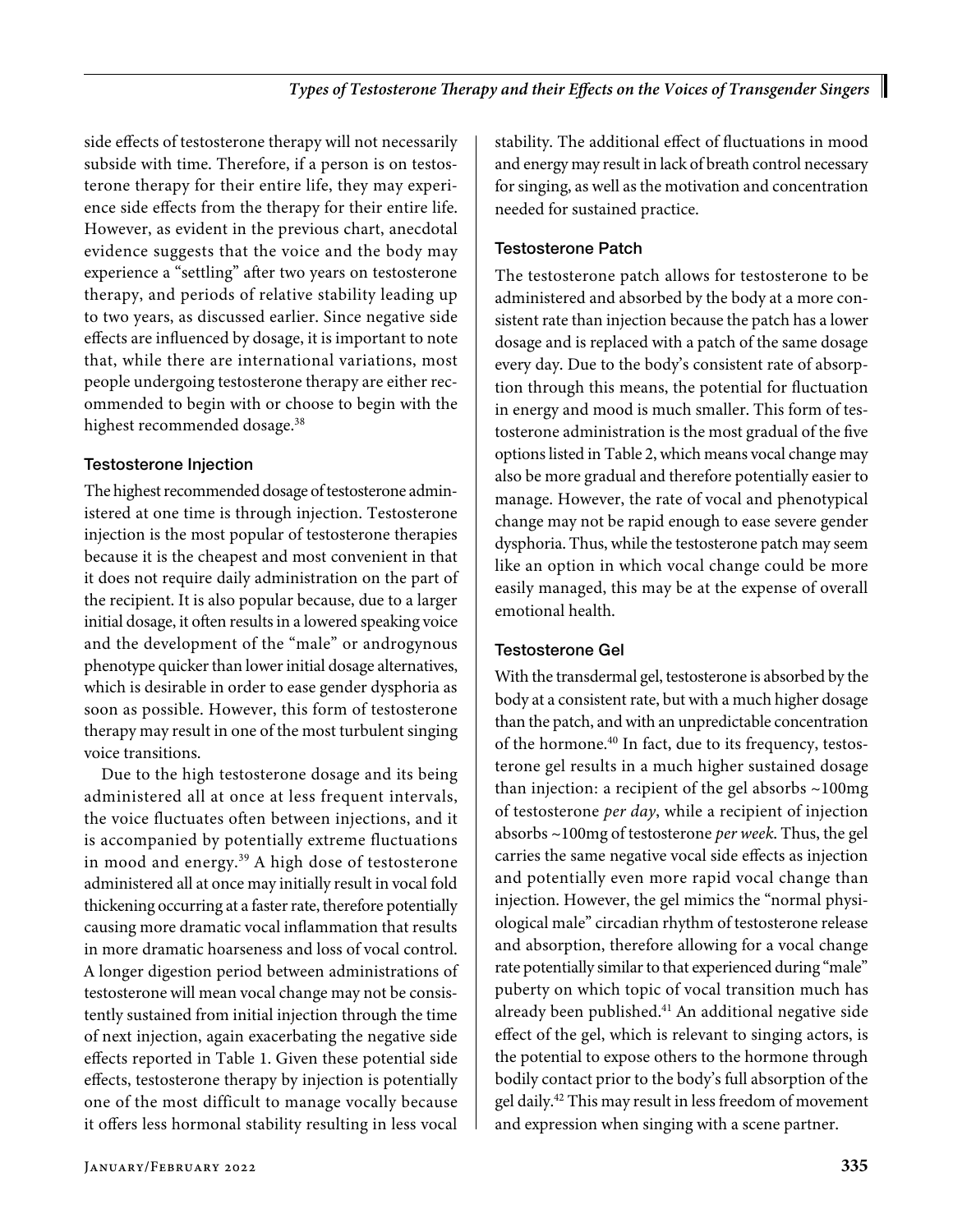side effects of testosterone therapy will not necessarily subside with time. Therefore, if a person is on testosterone therapy for their entire life, they may experience side effects from the therapy for their entire life. However, as evident in the previous chart, anecdotal evidence suggests that the voice and the body may experience a "settling" after two years on testosterone therapy, and periods of relative stability leading up to two years, as discussed earlier. Since negative side effects are influenced by dosage, it is important to note that, while there are international variations, most people undergoing testosterone therapy are either recommended to begin with or choose to begin with the highest recommended dosage.<sup>38</sup>

#### Testosterone Injection

The highest recommended dosage of testosterone administered at one time is through injection. Testosterone injection is the most popular of testosterone therapies because it is the cheapest and most convenient in that it does not require daily administration on the part of the recipient. It is also popular because, due to a larger initial dosage, it often results in a lowered speaking voice and the development of the "male" or androgynous phenotype quicker than lower initial dosage alternatives, which is desirable in order to ease gender dysphoria as soon as possible. However, this form of testosterone therapy may result in one of the most turbulent singing voice transitions.

Due to the high testosterone dosage and its being administered all at once at less frequent intervals, the voice fluctuates often between injections, and it is accompanied by potentially extreme fluctuations in mood and energy.39 A high dose of testosterone administered all at once may initially result in vocal fold thickening occurring at a faster rate, therefore potentially causing more dramatic vocal inflammation that results in more dramatic hoarseness and loss of vocal control. A longer digestion period between administrations of testosterone will mean vocal change may not be consistently sustained from initial injection through the time of next injection, again exacerbating the negative side effects reported in Table 1. Given these potential side effects, testosterone therapy by injection is potentially one of the most difficult to manage vocally because it offers less hormonal stability resulting in less vocal

stability. The additional effect of fluctuations in mood and energy may result in lack of breath control necessary for singing, as well as the motivation and concentration needed for sustained practice.

# Testosterone Patch

The testosterone patch allows for testosterone to be administered and absorbed by the body at a more consistent rate than injection because the patch has a lower dosage and is replaced with a patch of the same dosage every day. Due to the body's consistent rate of absorption through this means, the potential for fluctuation in energy and mood is much smaller. This form of testosterone administration is the most gradual of the five options listed in Table 2, which means vocal change may also be more gradual and therefore potentially easier to manage. However, the rate of vocal and phenotypical change may not be rapid enough to ease severe gender dysphoria. Thus, while the testosterone patch may seem like an option in which vocal change could be more easily managed, this may be at the expense of overall emotional health.

# Testosterone Gel

With the transdermal gel, testosterone is absorbed by the body at a consistent rate, but with a much higher dosage than the patch, and with an unpredictable concentration of the hormone.<sup>40</sup> In fact, due to its frequency, testosterone gel results in a much higher sustained dosage than injection: a recipient of the gel absorbs ~100mg of testosterone *per day*, while a recipient of injection absorbs ~100mg of testosterone *per week*. Thus, the gel carries the same negative vocal side effects as injection and potentially even more rapid vocal change than injection. However, the gel mimics the "normal physiological male" circadian rhythm of testosterone release and absorption, therefore allowing for a vocal change rate potentially similar to that experienced during "male" puberty on which topic of vocal transition much has already been published.<sup>41</sup> An additional negative side effect of the gel, which is relevant to singing actors, is the potential to expose others to the hormone through bodily contact prior to the body's full absorption of the gel daily.<sup>42</sup> This may result in less freedom of movement and expression when singing with a scene partner.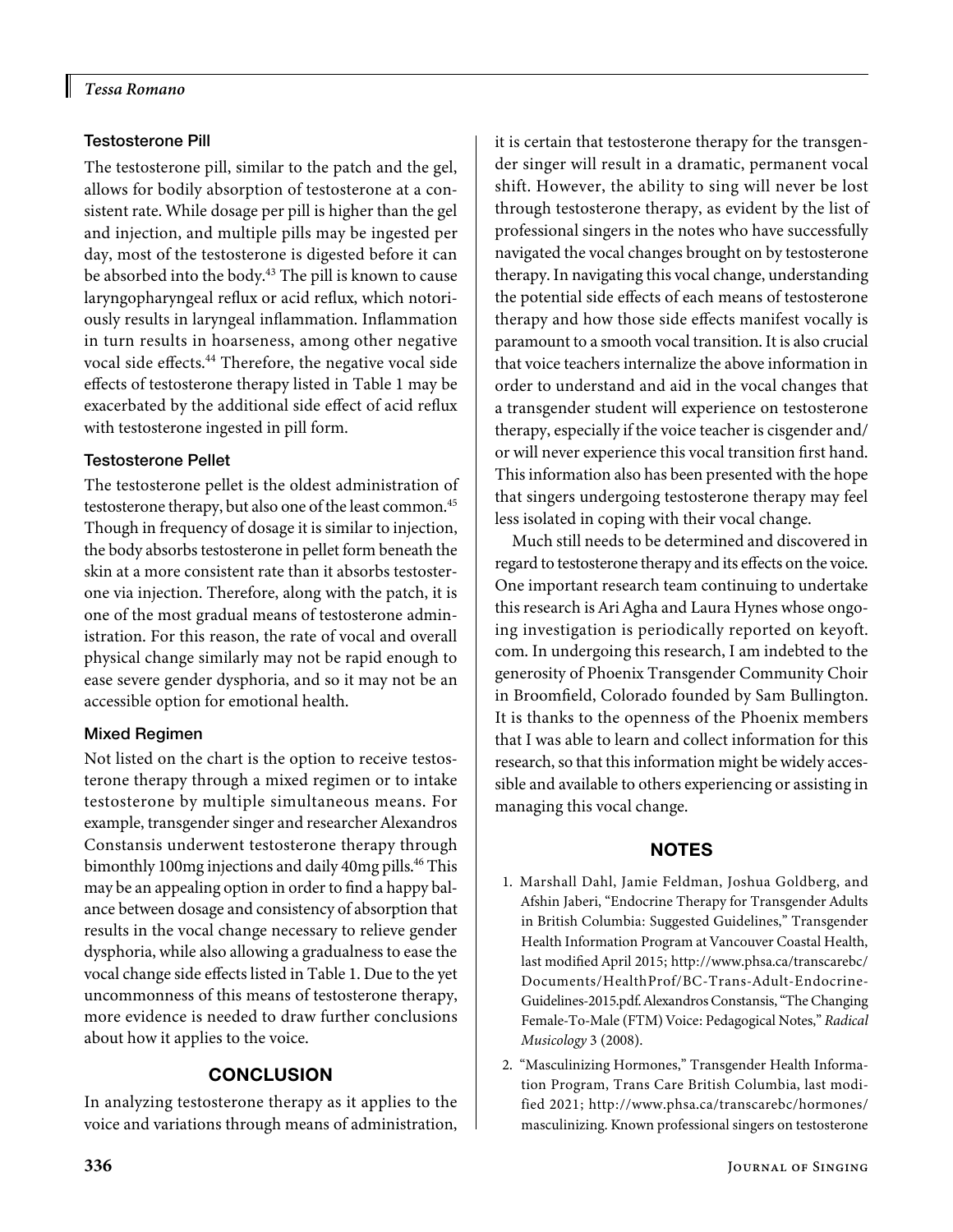I

## Testosterone Pill

The testosterone pill, similar to the patch and the gel, allows for bodily absorption of testosterone at a consistent rate. While dosage per pill is higher than the gel and injection, and multiple pills may be ingested per day, most of the testosterone is digested before it can be absorbed into the body.<sup>43</sup> The pill is known to cause laryngopharyngeal reflux or acid reflux, which notoriously results in laryngeal inflammation. Inflammation in turn results in hoarseness, among other negative vocal side effects.44 Therefore, the negative vocal side effects of testosterone therapy listed in Table 1 may be exacerbated by the additional side effect of acid reflux with testosterone ingested in pill form.

# Testosterone Pellet

The testosterone pellet is the oldest administration of testosterone therapy, but also one of the least common.<sup>45</sup> Though in frequency of dosage it is similar to injection, the body absorbs testosterone in pellet form beneath the skin at a more consistent rate than it absorbs testosterone via injection. Therefore, along with the patch, it is one of the most gradual means of testosterone administration. For this reason, the rate of vocal and overall physical change similarly may not be rapid enough to ease severe gender dysphoria, and so it may not be an accessible option for emotional health.

# Mixed Regimen

Not listed on the chart is the option to receive testosterone therapy through a mixed regimen or to intake testosterone by multiple simultaneous means. For example, transgender singer and researcher Alexandros Constansis underwent testosterone therapy through bimonthly 100mg injections and daily 40mg pills.<sup>46</sup> This may be an appealing option in order to find a happy balance between dosage and consistency of absorption that results in the vocal change necessary to relieve gender dysphoria, while also allowing a gradualness to ease the vocal change side effects listed in Table 1. Due to the yet uncommonness of this means of testosterone therapy, more evidence is needed to draw further conclusions about how it applies to the voice.

# **CONCLUSION**

In analyzing testosterone therapy as it applies to the voice and variations through means of administration, it is certain that testosterone therapy for the transgender singer will result in a dramatic, permanent vocal shift. However, the ability to sing will never be lost through testosterone therapy, as evident by the list of professional singers in the notes who have successfully navigated the vocal changes brought on by testosterone therapy. In navigating this vocal change, understanding the potential side effects of each means of testosterone therapy and how those side effects manifest vocally is paramount to a smooth vocal transition. It is also crucial that voice teachers internalize the above information in order to understand and aid in the vocal changes that a transgender student will experience on testosterone therapy, especially if the voice teacher is cisgender and/ or will never experience this vocal transition first hand. This information also has been presented with the hope that singers undergoing testosterone therapy may feel less isolated in coping with their vocal change.

Much still needs to be determined and discovered in regard to testosterone therapy and its effects on the voice. One important research team continuing to undertake this research is Ari Agha and Laura Hynes whose ongoing investigation is periodically reported on [keyoft.](http://keyoft.com) [com](http://keyoft.com). In undergoing this research, I am indebted to the generosity of Phoenix Transgender Community Choir in Broomfield, Colorado founded by Sam Bullington. It is thanks to the openness of the Phoenix members that I was able to learn and collect information for this research, so that this information might be widely accessible and available to others experiencing or assisting in managing this vocal change.

# NOTES

- 1. Marshall Dahl, Jamie Feldman, Joshua Goldberg, and Afshin Jaberi, "Endocrine Therapy for Transgender Adults in British Columbia: Suggested Guidelines," Transgender Health Information Program at Vancouver Coastal Health, last modified April 2015; [http://www.phsa.ca/transcarebc/](http://www.phsa.ca/transcarebc/Documents/HealthProf/BC-Trans-Adult-Endocrine-Guidelines-2015.pdf) [Documents/HealthProf/BC-Trans-Adult-Endocrine-](http://www.phsa.ca/transcarebc/Documents/HealthProf/BC-Trans-Adult-Endocrine-Guidelines-2015.pdf)[Guidelines-2015.pdf](http://www.phsa.ca/transcarebc/Documents/HealthProf/BC-Trans-Adult-Endocrine-Guidelines-2015.pdf). Alexandros Constansis, "The Changing Female-To-Male (FTM) Voice: Pedagogical Notes," *Radical Musicology* 3 (2008).
- 2. "Masculinizing Hormones," Transgender Health Information Program, Trans Care British Columbia, last modified 2021; [http://www.phsa.ca/transcarebc/hormones/](http://www.phsa.ca/transcarebc/hormones/masculinizing) [masculinizing.](http://www.phsa.ca/transcarebc/hormones/masculinizing) Known professional singers on testosterone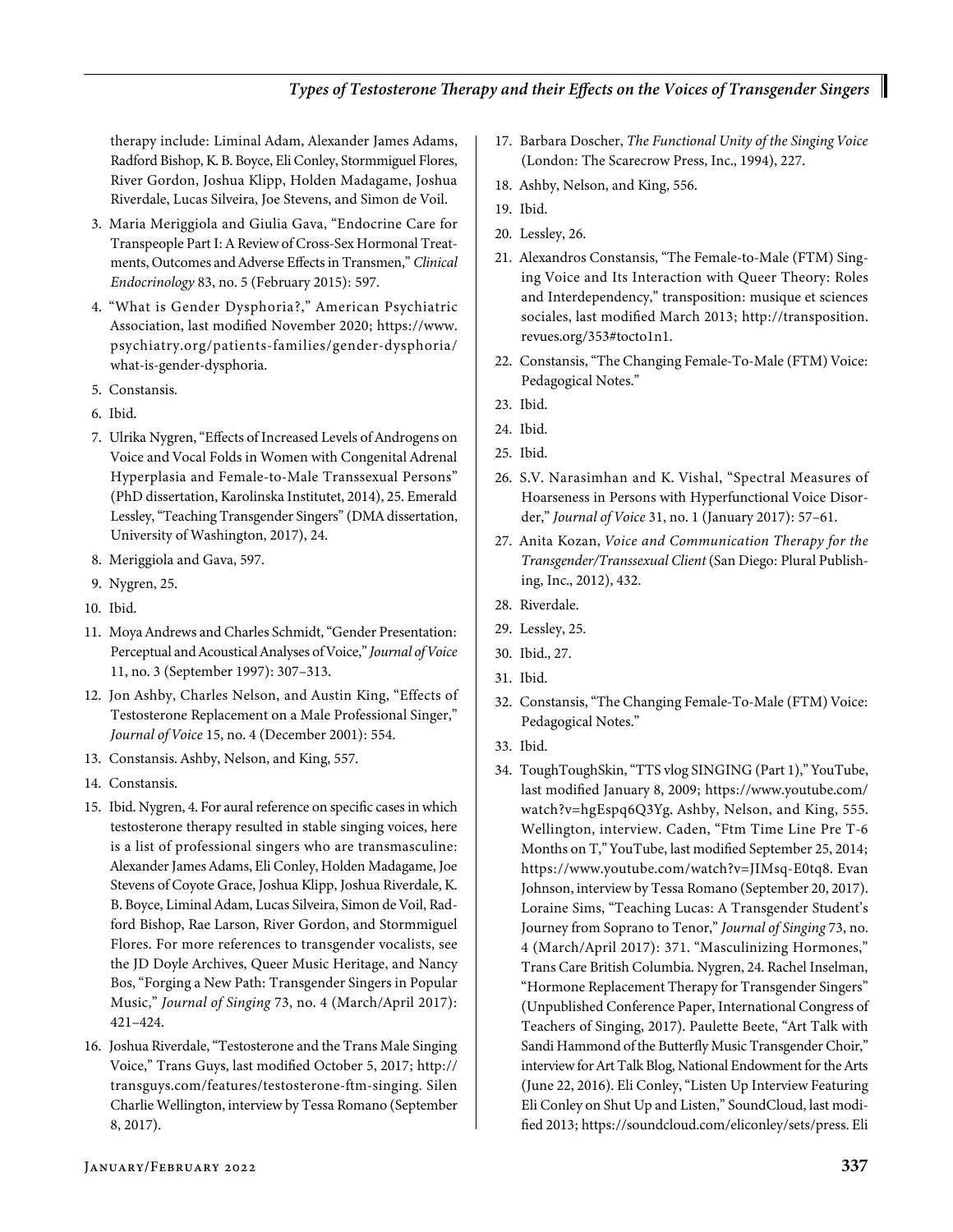therapy include: Liminal Adam, Alexander James Adams, Radford Bishop, K. B. Boyce, Eli Conley, Stormmiguel Flores, River Gordon, Joshua Klipp, Holden Madagame, Joshua Riverdale, Lucas Silveira, Joe Stevens, and Simon de Voil.

- 3. Maria Meriggiola and Giulia Gava, "Endocrine Care for Transpeople Part I: A Review of Cross-Sex Hormonal Treatments, Outcomes and Adverse Effects in Transmen," *Clinical Endocrinology* 83, no. 5 (February 2015): 597.
- 4. "What is Gender Dysphoria?," American Psychiatric Association, last modified November 2020; [https://www.](https://www.psychiatry.org/patients-families/gender-dysphoria/what-is-gender-dysphoria) [psychiatry.org/patients-families/gender-dysphoria/](https://www.psychiatry.org/patients-families/gender-dysphoria/what-is-gender-dysphoria) [what-is-gender-dysphoria.](https://www.psychiatry.org/patients-families/gender-dysphoria/what-is-gender-dysphoria)
- 5. Constansis.
- 6. Ibid.
- 7. Ulrika Nygren, "Effects of Increased Levels of Androgens on Voice and Vocal Folds in Women with Congenital Adrenal Hyperplasia and Female-to-Male Transsexual Persons" (PhD dissertation, Karolinska Institutet, 2014), 25. Emerald Lessley, "Teaching Transgender Singers" (DMA dissertation, University of Washington, 2017), 24.
- 8. Meriggiola and Gava, 597.
- 9. Nygren, 25.
- 10. Ibid.
- 11. Moya Andrews and Charles Schmidt, "Gender Presentation: Perceptual and Acoustical Analyses of Voice," *Journal of Voice* 11, no. 3 (September 1997): 307–313.
- 12. Jon Ashby, Charles Nelson, and Austin King, "Effects of Testosterone Replacement on a Male Professional Singer," *Journal of Voice* 15, no. 4 (December 2001): 554.
- 13. Constansis. Ashby, Nelson, and King, 557.
- 14. Constansis.
- 15. Ibid. Nygren, 4. For aural reference on specific cases in which testosterone therapy resulted in stable singing voices, here is a list of professional singers who are transmasculine: Alexander James Adams, Eli Conley, Holden Madagame, Joe Stevens of Coyote Grace, Joshua Klipp, Joshua Riverdale, K. B. Boyce, Liminal Adam, Lucas Silveira, Simon de Voil, Radford Bishop, Rae Larson, River Gordon, and Stormmiguel Flores. For more references to transgender vocalists, see the JD Doyle Archives, Queer Music Heritage, and Nancy Bos, "Forging a New Path: Transgender Singers in Popular Music," *Journal of Singing* 73, no. 4 (March/April 2017): 421–424.
- 16. Joshua Riverdale, "Testosterone and the Trans Male Singing Voice," Trans Guys, last modified October 5, 2017; [http://](http://transguys.com/features/testosterone-ftm-singing) [transguys.com/features/testosterone-ftm-singing](http://transguys.com/features/testosterone-ftm-singing). Silen Charlie Wellington, interview by Tessa Romano (September 8, 2017).
- 17. Barbara Doscher, *The Functional Unity of the Singing Voice* (London: The Scarecrow Press, Inc., 1994), 227.
- 18. Ashby, Nelson, and King, 556.
- 19. Ibid.
- 20. Lessley, 26.
- 21. Alexandros Constansis, "The Female-to-Male (FTM) Singing Voice and Its Interaction with Queer Theory: Roles and Interdependency," transposition: musique et sciences sociales, last modified March 2013; http://transposition. revues.org/353#tocto1n1.
- 22. Constansis, "The Changing Female-To-Male (FTM) Voice: Pedagogical Notes."
- 23. Ibid.
- 24. Ibid.
- 25. Ibid.
- 26. S.V. Narasimhan and K. Vishal, "Spectral Measures of Hoarseness in Persons with Hyperfunctional Voice Disorder," *Journal of Voice* 31, no. 1 (January 2017): 57–61.
- 27. Anita Kozan, *Voice and Communication Therapy for the Transgender/Transsexual Client* (San Diego: Plural Publishing, Inc., 2012), 432.
- 28. Riverdale.
- 29. Lessley, 25.
- 30. Ibid., 27.
- 31. Ibid.
- 32. Constansis, "The Changing Female-To-Male (FTM) Voice: Pedagogical Notes."
- 33. Ibid.
- 34. ToughToughSkin, "TTS vlog SINGING (Part 1)," YouTube, last modified January 8, 2009; [https://www.youtube.com/](https://www.youtube.com/watch?v=hgEspq6Q3Yg) [watch?v=hgEspq6Q3Yg.](https://www.youtube.com/watch?v=hgEspq6Q3Yg) Ashby, Nelson, and King, 555. Wellington, interview. Caden, "Ftm Time Line Pre T-6 Months on T," YouTube, last modified September 25, 2014; <https://www.youtube.com/watch?v=JIMsq-E0tq8>. Evan Johnson, interview by Tessa Romano (September 20, 2017). Loraine Sims, "Teaching Lucas: A Transgender Student's Journey from Soprano to Tenor," *Journal of Singing* 73, no. 4 (March/April 2017): 371. "Masculinizing Hormones," Trans Care British Columbia. Nygren, 24. Rachel Inselman, "Hormone Replacement Therapy for Transgender Singers" (Unpublished Conference Paper, International Congress of Teachers of Singing, 2017). Paulette Beete, "Art Talk with Sandi Hammond of the Butterfly Music Transgender Choir," interview for Art Talk Blog, National Endowment for the Arts (June 22, 2016). Eli Conley, "Listen Up Interview Featuring Eli Conley on Shut Up and Listen," SoundCloud, last modified 2013; [https://soundcloud.com/eliconley/sets/press.](https://soundcloud.com/eliconley/sets/press) Eli